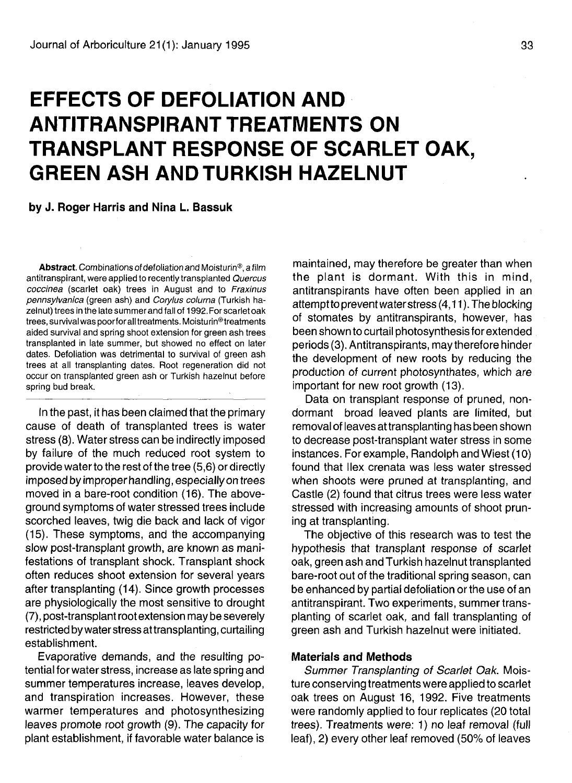# **EFFECTS OF DEFOLIATION AND ANTITRANSPIRANT TREATMENTS ON TRANSPLANT RESPONSE OF SCARLET OAK, GREEN ASH AND TURKISH HAZELNUT**

#### **by J. Roger Harris and Nina L. Bassuk**

**Abstract.** Combinations of defoliation and Moisturin®, a film antitranspirant, were applied to recently transplanted Quercus coccinea (scarlet oak) trees in August and to Fraxinus pennsylvanica (green ash) and Corylus colurna (Turkish hazelnut) trees in the late summer and fall of 1992.For scarlet oak trees, survival was poorfor all treatments. Moisturin®treatments aided survival and spring shoot extension for green ash trees transplanted in late summer, but showed no effect on later dates. Defoliation was detrimental to survival of green ash trees at all transplanting dates. Root regeneration did not occur on transplanted green ash or Turkish hazelnut before spring bud break.

In the past, it has been claimed that the primary cause of death of transplanted trees is water stress (8). Water stress can be indirectly imposed by failure of the much reduced root system to provide water to the rest of the tree (5,6) or directly imposed by improper handling, especially on trees moved in a bare-root condition (16). The aboveground symptoms of water stressed trees include scorched leaves, twig die back and lack of vigor (15). These symptoms, and the accompanying slow post-transplant growth, are known as manifestations of transplant shock. Transplant shock often reduces shoot extension for several years after transplanting (14). Since growth processes are physiologically the most sensitive to drought (7), post-transplant root extension may be severely restricted by water stressattransplanting, curtailing establishment.

Evaporative demands, and the resulting potential for water stress, increase as late spring and summer temperatures increase, leaves develop, and transpiration increases. However, these warmer temperatures and photosynthesizing leaves promote root growth (9). The capacity for plant establishment, if favorable water balance is

maintained, may therefore be greater than when the plant is dormant. With this in mind, antitranspirants have often been applied in an attempt to prevent water stress (4,11). The blocking of stomates by antitranspirants, however, has been shown to curtail photosynthesis for extended periods (3). Antitranspirants, may therefore hinder the development of new roots by reducing the production of current photosynthates, which are important for new root growth (13).

Data on transplant response of pruned, nondormant broad leaved plants are limited, but removal of leaves at transplanting has been shown to decrease post-transplant water stress in some instances. For example, Randolph and Wiest (10) found that Ilex crenata was less water stressed when shoots were pruned at transplanting, and Castle (2) found that citrus trees were less water stressed with increasing amounts of shoot pruning at transplanting.

The objective of this research was to test the hypothesis that transplant response of scarlet oak, green ash and Turkish hazelnut transplanted bare-root out of the traditional spring season, can be enhanced by partial defoliation or the use of an antitranspirant. Two experiments, summer transplanting of scarlet oak, and fall transplanting of green ash and Turkish hazelnut were initiated.

## **Materials and Methods**

Summer Transplanting of Scarlet Oak. Moisture conserving treatments were applied to scarlet oak trees on August 16, 1992. Five treatments were randomly applied to four replicates (20 total trees). Treatments were: 1) no leaf removal (full leaf), 2) every other leaf removed (50% of leaves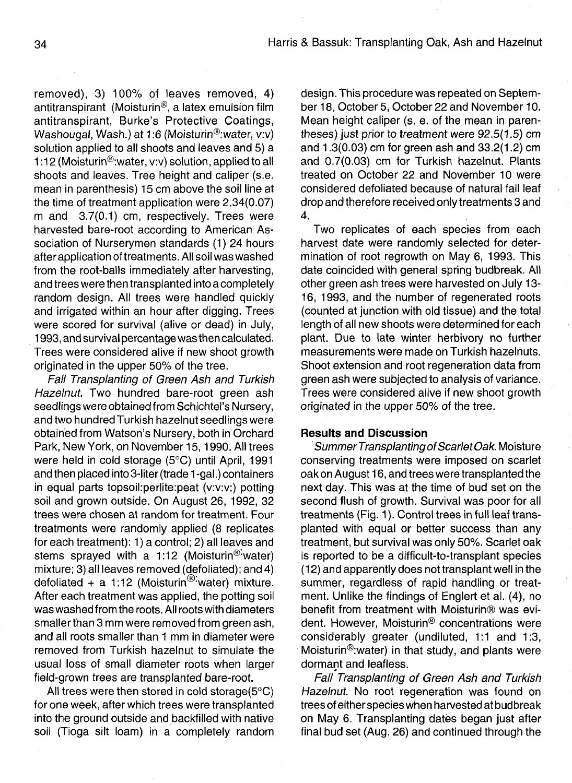removed), 3) 100% of leaves removed, 4) antitranspirant (Moisturin®, a latex emulsion film antitranspirant, Burke's Protective Coatings, Washougal, Wash.) at 1:6 (Moisturin®:water, v:v) solution applied to all shoots and leaves and 5) a 1:12 (Moisturin®:water, v:v) solution, applied to all shoots and leaves. Tree height and caliper (s.e. mean in parenthesis) 15 cm above the soil line at the time of treatment application were 2.34(0.07) m and 3.7(0.1) cm, respectively. Trees were harvested bare-root according to American Association of Nurserymen standards (1) 24 hours after application of treatments. All soil was washed from the root-balls immediately after harvesting, and trees were then transplanted into a completely random design. All trees were handled quickly and irrigated within an hour after digging. Trees were scored for survival (alive or dead) in July, 1993, and survival percentage was then calculated. Trees were considered alive if new shoot growth originated in the upper 50% of the tree.

Fall Transplanting of Green Ash and Turkish Hazelnut. Two hundred bare-root green ash seedlings were obtained from Schichtel's Nursery, and two hundred Turkish hazelnut seedlings were obtained from Watson's Nursery, both in Orchard Park, New York, on November 15,1990. All trees were held in cold storage (5°C) until April, 1991 and then placed into 3-liter (trade 1 -gal.) containers in equal parts topsoil:perlite:peat (v:v:v:) potting soil and grown outside. On August 26, 1992, 32 trees were chosen at random for treatment. Four treatments were randomly applied (8 replicates for each treatment): 1) a control; 2) all leaves and stems sprayed with a 1:12 (Moisturin<sup>®-</sup>water) mixture; 3) all leaves removed (defoliated); and 4) defoliated + a 1:12 (Moisturin®'water) mixture. After each treatment was applied, the potting soil was washed from the roots. All roots with diameters smaller than 3 mm were removed from green ash, and all roots smaller than 1 mm in diameter were removed from Turkish hazelnut to simulate the usual loss of small diameter roots when larger field-grown trees are transplanted bare-root.

All trees were then stored in cold storage(5°C) for one week, after which trees were transplanted into the ground outside and backfilled with native soil (Tioga silt loam) in a completely random

design. This procedure was repeated on September 18, October 5, October 22 and November 10. Mean height caliper (s. e. of the mean in parentheses) just prior to treatment were 92.5(1.5) cm and 1.3(0.03) cm for green ash and 33.2(1.2) cm and 0.7(0.03) cm for Turkish hazelnut. Plants treated on October 22 and November 10 were considered defoliated because of natural fall leaf drop and therefore received only treatments 3 and 4.

Two replicates of each species from each harvest date were randomly selected for determination of root regrowth on May 6, 1993. This date coincided with general spring budbreak. All other green ash trees were harvested on July 13- 16, 1993, and the number of regenerated roots (counted at junction with old tissue) and the total length of all new shoots were determined for each plant. Due to late winter herbivory no further measurements were made on Turkish hazelnuts. Shoot extension and root regeneration data from green ash were subjected to analysis of variance. Trees were considered alive if new shoot growth originated in the upper 50% of the tree.

## **Results and Discussion**

Summer Transplanting of Scarlet Oak. Moisture conserving treatments were imposed on scarlet oak on August 16, and trees were transplanted the next day. This was at the time of bud set on the second flush of growth. Survival was poor for all treatments (Fig. 1). Control trees in full leaf transplanted with equal or better success than any treatment, but survival was only 50%. Scarlet oak is reported to be a difficult-to-transplant species (12) and apparently does not transplant well in the summer, regardless of rapid handling or treatment. Unlike the findings of Englert et al. (4), no benefit from treatment with Moisturin® was evident. However, Moisturin® concentrations were considerably greater (undiluted, 1:1 and 1:3, Moisturin®:water) in that study, and plants were dormant and leafless.

Fall Transplanting of Green Ash and Turkish Hazelnut. No root regeneration was found on trees of either species when harvested at budbreak on May 6. Transplanting dates began just after final bud set (Aug. 26) and continued through the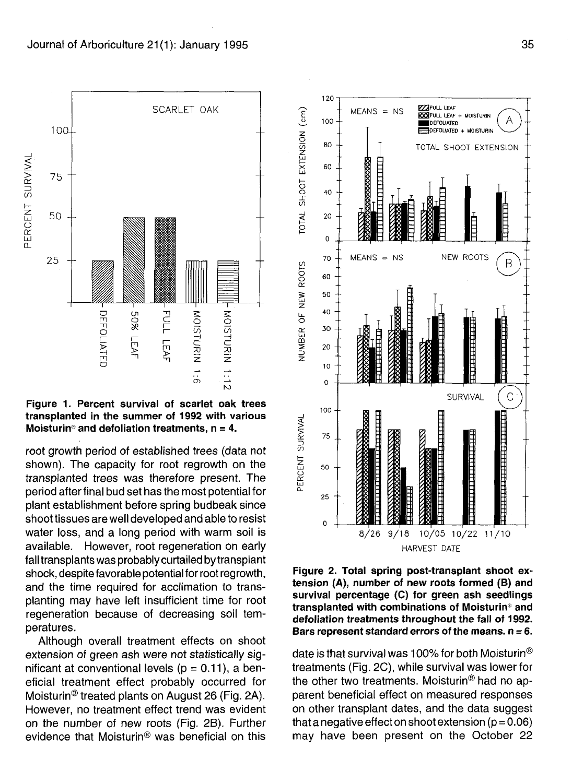root growth period of established trees (data not shown). The capacity for root regrowth on the transplanted trees was therefore present. The period after final bud set has the most potential for plant establishment before spring budbeak since shoot tissues are well developed and able to resist water loss, and a long period with warm soil is available. However, root regeneration on early fall transplants was probably curtailed by transplant shock, despite favorable potential for root regrowth, and the time required for acclimation to transplanting may have left insufficient time for root regeneration because of decreasing soil temperatures.

Although overall treatment effects on shoot extension of green ash were not statistically significant at conventional levels ( $p = 0.11$ ), a beneficial treatment effect probably occurred for Moisturin® treated plants on August 26 (Fig. 2A). However, no treatment effect trend was evident on the number of new roots (Fig. 2B). Further evidence that Moisturin® was beneficial on this

**Figure 2. Total spring post-transplant shoot extension (A), number of new roots formed (B) and survival percentage (C) for green ash seedlings transplanted with combinations of Moisturin® and defoliation treatments throughout the fall of 1992. Bars represent standard errors of the means,**  $n = 6$ **.** 

date is that survival was 100% for both Moisturin<sup>®</sup> treatments (Fig. 2C), while survival was lower for the other two treatments. Moisturin® had no apparent beneficial effect on measured responses on other transplant dates, and the data suggest that a negative effect on shoot extension ( $p = 0.06$ ) may have been present on the October 22



**EZ3FUIL LEAF**  $MEANS = NS$ **E23FULL LEAF + MOISTURIN** 100 **^•DEFOLIATED QDEFOLIATEO + MOISTURIN** o 80 TOTAL SHOOT EXTENSION z 00000000000000000 60 o o **X CO** 40 20 **0**  $MEANS = NS$ NEW ROOTS **70** B **o o 60 50 40** o **30** UJ **CD 20 10 0**  $\mathsf{C}$ **SURVIVAL** 100 **1 75** 50 **O** 25  $\mathbf 0$ 8/26 9/18 10/05 10/22 11/10 HARVEST DATE

120